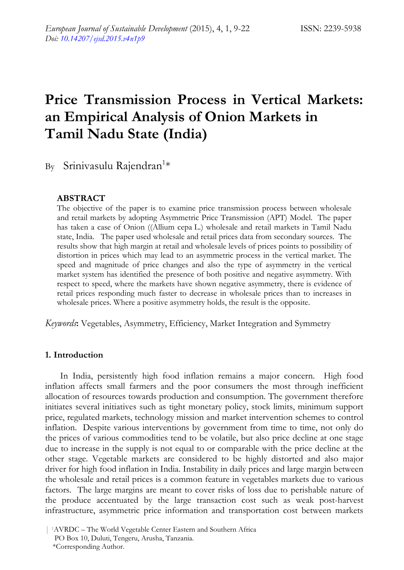# **Price Transmission Process in Vertical Markets: an Empirical Analysis of Onion Markets in Tamil Nadu State (India)**

By Srinivasulu Rajendran<sup>1\*</sup>

# **ABSTRACT**

The objective of the paper is to examine price transmission process between wholesale and retail markets by adopting Asymmetric Price Transmission (APT) Model. The paper has taken a case of Onion ((Allium cepa L.) wholesale and retail markets in Tamil Nadu state, India. The paper used wholesale and retail prices data from secondary sources. The results show that high margin at retail and wholesale levels of prices points to possibility of distortion in prices which may lead to an asymmetric process in the vertical market. The speed and magnitude of price changes and also the type of asymmetry in the vertical market system has identified the presence of both positive and negative asymmetry. With respect to speed, where the markets have shown negative asymmetry, there is evidence of retail prices responding much faster to decrease in wholesale prices than to increases in wholesale prices. Where a positive asymmetry holds, the result is the opposite.

*Keywords***:** Vegetables, Asymmetry, Efficiency, Market Integration and Symmetry

#### **1. Introduction**

In India, persistently high food inflation remains a major concern. High food inflation affects small farmers and the poor consumers the most through inefficient allocation of resources towards production and consumption. The government therefore initiates several initiatives such as tight monetary policy, stock limits, minimum support price, regulated markets, technology mission and market intervention schemes to control inflation. Despite various interventions by government from time to time, not only do the prices of various commodities tend to be volatile, but also price decline at one stage due to increase in the supply is not equal to or comparable with the price decline at the other stage. Vegetable markets are considered to be highly distorted and also major driver for high food inflation in India. Instability in daily prices and large margin between the wholesale and retail prices is a common feature in vegetables markets due to various factors. The large margins are meant to cover risks of loss due to perishable nature of the produce accentuated by the large transaction cost such as weak post-harvest infrastructure, asymmetric price information and transportation cost between markets

<sup>| 1</sup>AVRDC – The World Vegetable Center Eastern and Southern Africa PO Box 10, Duluti, Tengeru, Arusha, Tanzania. \*Corresponding Author.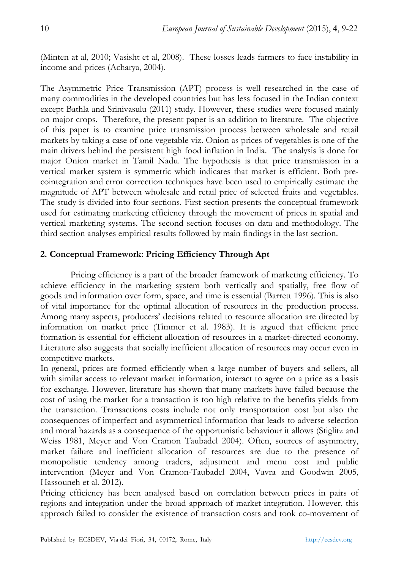(Minten at al, 2010; Vasisht et al, 2008). These losses leads farmers to face instability in income and prices (Acharya, 2004).

The Asymmetric Price Transmission (APT) process is well researched in the case of many commodities in the developed countries but has less focused in the Indian context except Bathla and Srinivasulu (2011) study. However, these studies were focused mainly on major crops. Therefore, the present paper is an addition to literature. The objective of this paper is to examine price transmission process between wholesale and retail markets by taking a case of one vegetable viz. Onion as prices of vegetables is one of the main drivers behind the persistent high food inflation in India. The analysis is done for major Onion market in Tamil Nadu. The hypothesis is that price transmission in a vertical market system is symmetric which indicates that market is efficient. Both precointegration and error correction techniques have been used to empirically estimate the magnitude of APT between wholesale and retail price of selected fruits and vegetables. The study is divided into four sections. First section presents the conceptual framework used for estimating marketing efficiency through the movement of prices in spatial and vertical marketing systems. The second section focuses on data and methodology. The third section analyses empirical results followed by main findings in the last section.

# **2. Conceptual Framework: Pricing Efficiency Through Apt**

Pricing efficiency is a part of the broader framework of marketing efficiency. To achieve efficiency in the marketing system both vertically and spatially, free flow of goods and information over form, space, and time is essential (Barrett 1996). This is also of vital importance for the optimal allocation of resources in the production process. Among many aspects, producers' decisions related to resource allocation are directed by information on market price (Timmer et al. 1983). It is argued that efficient price formation is essential for efficient allocation of resources in a market-directed economy. Literature also suggests that socially inefficient allocation of resources may occur even in competitive markets.

In general, prices are formed efficiently when a large number of buyers and sellers, all with similar access to relevant market information, interact to agree on a price as a basis for exchange. However, literature has shown that many markets have failed because the cost of using the market for a transaction is too high relative to the benefits yields from the transaction. Transactions costs include not only transportation cost but also the consequences of imperfect and asymmetrical information that leads to adverse selection and moral hazards as a consequence of the opportunistic behaviour it allows (Stiglitz and Weiss 1981, Meyer and Von Cramon Taubadel 2004). Often, sources of asymmetry, market failure and inefficient allocation of resources are due to the presence of monopolistic tendency among traders, adjustment and menu cost and public intervention (Meyer and Von Cramon-Taubadel 2004, Vavra and Goodwin 2005, Hassouneh et al. 2012).

Pricing efficiency has been analysed based on correlation between prices in pairs of regions and integration under the broad approach of market integration. However, this approach failed to consider the existence of transaction costs and took co-movement of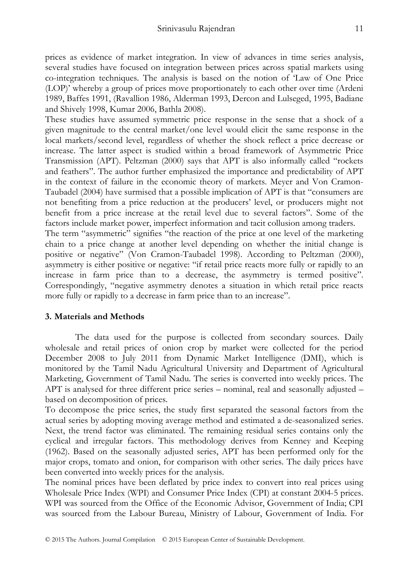prices as evidence of market integration. In view of advances in time series analysis, several studies have focused on integration between prices across spatial markets using co-integration techniques. The analysis is based on the notion of 'Law of One Price (LOP)' whereby a group of prices move proportionately to each other over time (Ardeni 1989, Baffes 1991, (Ravallion 1986, Alderman 1993, Dercon and Lulseged, 1995, Badiane and Shively 1998, Kumar 2006, Bathla 2008).

These studies have assumed symmetric price response in the sense that a shock of a given magnitude to the central market/one level would elicit the same response in the local markets/second level, regardless of whether the shock reflect a price decrease or increase. The latter aspect is studied within a broad framework of Asymmetric Price Transmission (APT). Peltzman (2000) says that APT is also informally called "rockets and feathers". The author further emphasized the importance and predictability of APT in the context of failure in the economic theory of markets. Meyer and Von Cramon-Taubadel (2004) have surmised that a possible implication of APT is that "consumers are not benefiting from a price reduction at the producers' level, or producers might not benefit from a price increase at the retail level due to several factors". Some of the factors include market power, imperfect information and tacit collusion among traders.

The term "asymmetric" signifies "the reaction of the price at one level of the marketing chain to a price change at another level depending on whether the initial change is positive or negative" (Von Cramon-Taubadel 1998). According to Peltzman (2000), asymmetry is either positive or negative: "if retail price reacts more fully or rapidly to an increase in farm price than to a decrease, the asymmetry is termed positive". Correspondingly, "negative asymmetry denotes a situation in which retail price reacts more fully or rapidly to a decrease in farm price than to an increase".

# **3. Materials and Methods**

The data used for the purpose is collected from secondary sources. Daily wholesale and retail prices of onion crop by market were collected for the period December 2008 to July 2011 from Dynamic Market Intelligence (DMI), which is monitored by the Tamil Nadu Agricultural University and Department of Agricultural Marketing, Government of Tamil Nadu. The series is converted into weekly prices. The APT is analysed for three different price series – nominal, real and seasonally adjusted – based on decomposition of prices.

To decompose the price series, the study first separated the seasonal factors from the actual series by adopting moving average method and estimated a de-seasonalized series. Next, the trend factor was eliminated. The remaining residual series contains only the cyclical and irregular factors. This methodology derives from Kenney and Keeping (1962). Based on the seasonally adjusted series, APT has been performed only for the major crops, tomato and onion, for comparison with other series. The daily prices have been converted into weekly prices for the analysis.

The nominal prices have been deflated by price index to convert into real prices using Wholesale Price Index (WPI) and Consumer Price Index (CPI) at constant 2004-5 prices. WPI was sourced from the Office of the Economic Advisor, Government of India; CPI was sourced from the Labour Bureau, Ministry of Labour, Government of India. For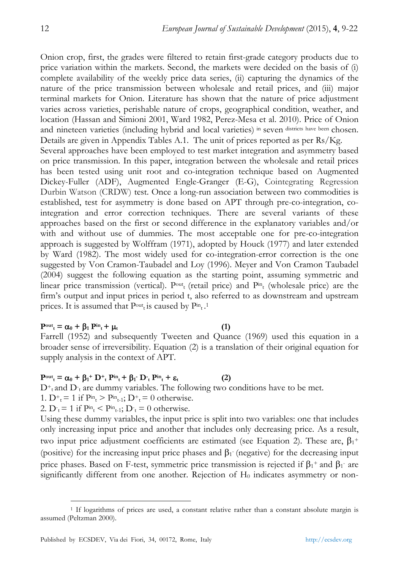Onion crop, first, the grades were filtered to retain first-grade category products due to price variation within the markets. Second, the markets were decided on the basis of (i) complete availability of the weekly price data series, (ii) capturing the dynamics of the nature of the price transmission between wholesale and retail prices, and (iii) major terminal markets for Onion. Literature has shown that the nature of price adjustment varies across varieties, perishable nature of crops, geographical condition, weather, and location (Hassan and Simioni 2001, Ward 1982, Perez-Mesa et al. 2010). Price of Onion and nineteen varieties (including hybrid and local varieties) in seven districts have been chosen. Details are given in Appendix Tables A.1. The unit of prices reported as per Rs/Kg.

Several approaches have been employed to test market integration and asymmetry based on price transmission. In this paper, integration between the wholesale and retail prices has been tested using unit root and co-integration technique based on Augmented Dickey-Fuller (ADF), Augmented Engle-Granger (E-G), Cointegrating Regression Durbin Watson (CRDW) test. Once a long-run association between two commodities is established, test for asymmetry is done based on APT through pre-co-integration, cointegration and error correction techniques. There are several variants of these approaches based on the first or second difference in the explanatory variables and/or with and without use of dummies. The most acceptable one for pre-co-integration approach is suggested by Wolffram (1971), adopted by Houck (1977) and later extended by Ward (1982). The most widely used for co-integration-error correction is the one suggested by Von Cramon-Taubadel and Loy (1996). Meyer and Von Cramon Taubadel (2004) suggest the following equation as the starting point, assuming symmetric and linear price transmission (vertical).  $P^{out}$  (retail price) and  $P^{in}$  (wholesale price) are the firm's output and input prices in period t, also referred to as downstream and upstream prices. It is assumed that  $P<sup>out</sup><sub>t</sub>$  is caused by  $P<sup>in</sup><sub>t</sub>$ .<sup>1</sup>

#### $\mathbf{P}^{\text{out}}_{t} = \alpha_0 + \beta_1 \mathbf{P}^{\text{in}}_{t} + \mu_t$  (1)

 $\ddot{\phantom{a}}$ 

Farrell (1952) and subsequently Tweeten and Quance (1969) used this equation in a broader sense of irreversibility. Equation (2) is a translation of their original equation for supply analysis in the context of APT.

#### $P<sup>out</sup><sub>t</sub> = \alpha_0 + \beta_1 + D + \beta_2 + P<sup>in</sup><sub>t</sub> + \beta_1 - D + \beta_2 + P<sup>in</sup><sub>t</sub>$  (2)

 $D^+$  and  $D^-$  are dummy variables. The following two conditions have to be met.

1.  $D^+{}_{t} = 1$  if  $P^m{}_{t} > P^m{}_{t-1}$ ;  $D^+{}_{t} = 0$  otherwise.

2.  $D_t = 1$  if  $P_{t}^m$  <  $P_{t-1}$ ;  $D_t = 0$  otherwise.

Using these dummy variables, the input price is split into two variables: one that includes only increasing input price and another that includes only decreasing price. As a result, two input price adjustment coefficients are estimated (see Equation 2). These are,  $\beta_1$ <sup>+</sup> (positive) for the increasing input price phases and  $\beta_1$  (negative) for the decreasing input price phases. Based on F-test, symmetric price transmission is rejected if  $\beta_1$ <sup>+</sup> and  $\beta_1$ <sup>-</sup> are significantly different from one another. Rejection of  $H_0$  indicates asymmetry or non-

<sup>1</sup> If logarithms of prices are used, a constant relative rather than a constant absolute margin is assumed (Peltzman 2000).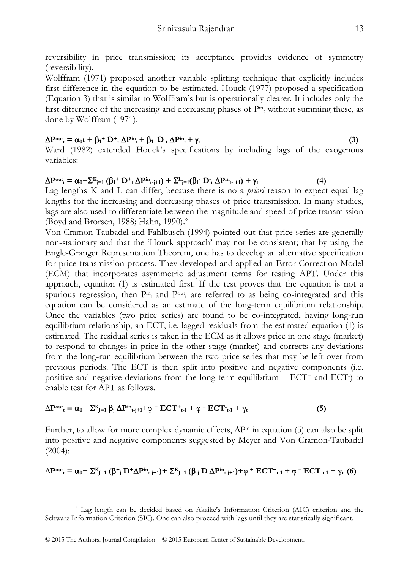reversibility in price transmission; its acceptance provides evidence of symmetry (reversibility).

Wolffram (1971) proposed another variable splitting technique that explicitly includes first difference in the equation to be estimated. Houck (1977) proposed a specification (Equation 3) that is similar to Wolffram's but is operationally clearer. It includes only the first difference of the increasing and decreasing phases of  $P<sup>in</sup>$  without summing these, as done by Wolffram (1971).

# $\Delta P_{\text{out}} = \alpha_0 t + \beta_1 + D_t + \Delta P_{\text{in}} + \beta_1 \cdot D_t + \Delta P_{\text{in}} + \gamma_t$  (3)

Ward (1982) extended Houck's specifications by including lags of the exogenous variables:

# $\Delta P^{\text{out}}$ <sub>**t**</sub> =  $\alpha_0 + \sum_{j=1}^K (\beta_1 + D^+$ **t**  $\Delta P^{\text{in}}$ <sub>**t**-j+1</sub>) +  $\sum_{j=1}^L (\beta_1 - D^+$ **t**  $\Delta P^{\text{in}}$ **t**<sub>t-j+1</sub>) + γ**t** (4)

Lag lengths K and L can differ, because there is no a *priori* reason to expect equal lag lengths for the increasing and decreasing phases of price transmission. In many studies, lags are also used to differentiate between the magnitude and speed of price transmission (Boyd and Brorsen, 1988; Hahn, 1990).2

Von Cramon-Taubadel and Fahlbusch (1994) pointed out that price series are generally non-stationary and that the 'Houck approach' may not be consistent; that by using the Engle-Granger Representation Theorem, one has to develop an alternative specification for price transmission process. They developed and applied an Error Correction Model (ECM) that incorporates asymmetric adjustment terms for testing APT. Under this approach, equation (1) is estimated first. If the test proves that the equation is not a spurious regression, then  $P^{\text{in}}$  and  $P^{\text{out}}$  are referred to as being co-integrated and this equation can be considered as an estimate of the long-term equilibrium relationship. Once the variables (two price series) are found to be co-integrated, having long-run equilibrium relationship, an ECT, i.e. lagged residuals from the estimated equation (1) is estimated. The residual series is taken in the ECM as it allows price in one stage (market) to respond to changes in price in the other stage (market) and corrects any deviations from the long-run equilibrium between the two price series that may be left over from previous periods. The ECT is then split into positive and negative components (i.e. positive and negative deviations from the long-term equilibrium  $-$  ECT $^+$  and ECT $)$  to enable test for APT as follows.

$$
\Delta P^{\rm out}{}_{t} = \alpha_0 + \sum_{j=1}^{K} \beta_j \Delta P^{\rm in}{}_{t+j+1} + \varphi \Delta T^{\rm in}{}_{t+1} + \varphi \Delta T^{\rm in}{}_{t+1} + \gamma_t \tag{5}
$$

Further, to allow for more complex dynamic effects,  $\Delta P^{\text{in}}$  in equation (5) can also be split into positive and negative components suggested by Meyer and Von Cramon-Taubadel (2004):

$$
\Delta P^{\mathrm{out}}{}_{t} = \alpha_0 + \Sigma^{K}{}_{J=1} \left( \beta^+{}_{j} \ D^+ \Delta P^{\mathrm{in}}{}_{t-j+1} \right) + \Sigma^{K}{}_{J=1} \left( \beta^{}_{j} \ D^-\Delta P^{\mathrm{in}}{}_{t-j+1} \right) + \phi^{} + ECT^+{}_{t\text{-}1} + \phi^- ECT^{}_{t\text{-}1} + \gamma_t \ \ (6)
$$

 $\overline{a}$ 

<sup>2</sup> Lag length can be decided based on Akaike's Information Criterion (AIC) criterion and the Schwarz Information Criterion (SIC). One can also proceed with lags until they are statistically significant.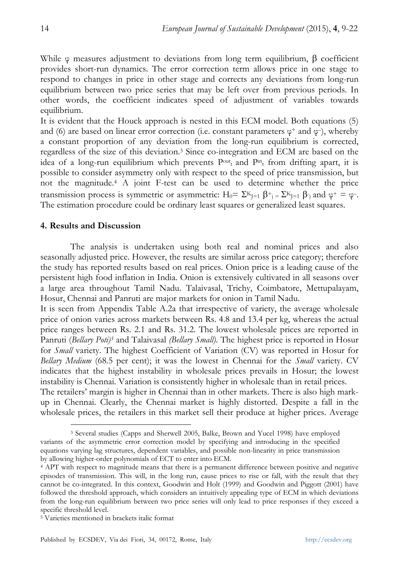While φ measures adjustment to deviations from long term equilibrium, β coefficient provides short-run dynamics. The error correction term allows price in one stage to respond to changes in price in other stage and corrects any deviations from long-run equilibrium between two price series that may be left over from previous periods. In other words, the coefficient indicates speed of adjustment of variables towards equilibrium.

It is evident that the Houck approach is nested in this ECM model. Both equations (5) and (6) are based on linear error correction (i.e. constant parameters  $\varphi^+$  and  $\varphi^-$ ), whereby a constant proportion of any deviation from the long-run equilibrium is corrected, regardless of the size of this deviation.3 Since co-integration and ECM are based on the idea of a long-run equilibrium which prevents  $P<sup>out</sup><sub>t</sub>$  and  $P<sup>in</sup><sub>t</sub>$  from drifting apart, it is possible to consider asymmetry only with respect to the speed of price transmission, but not the magnitude.4 A joint F-test can be used to determine whether the price transmission process is symmetric or asymmetric:  $H_0 = \sum_{j=1}^{K} \beta^+_{j=1} \sum_{j=1}^{K} \beta^+_{j}$  and  $\varphi^+ = \varphi^-$ . The estimation procedure could be ordinary least squares or generalized least squares.

#### **4. Results and Discussion**

The analysis is undertaken using both real and nominal prices and also seasonally adjusted price. However, the results are similar across price category; therefore the study has reported results based on real prices. Onion price is a leading cause of the persistent high food inflation in India. Onion is extensively cultivated in all seasons over a large area throughout Tamil Nadu. Talaivasal, Trichy, Coimbatore, Mettupalayam, Hosur, Chennai and Panruti are major markets for onion in Tamil Nadu.

It is seen from Appendix Table A.2a that irrespective of variety, the average wholesale price of onion varies across markets between Rs. 4.8 and 13.4 per kg, whereas the actual price ranges between Rs. 2.1 and Rs. 31.2. The lowest wholesale prices are reported in Panruti (*Bellary Poti)5* and Talaivasal *(Bellary Small)*. The highest price is reported in Hosur for *Small* variety. The highest Coefficient of Variation (CV) was reported in Hosur for *Bellary Medium* (68.5 per cent); it was the lowest in Chennai for the *Small* variety. CV indicates that the highest instability in wholesale prices prevails in Hosur; the lowest instability is Chennai. Variation is consistently higher in wholesale than in retail prices. The retailers' margin is higher in Chennai than in other markets. There is also high markup in Chennai. Clearly, the Chennai market is highly distorted. Despite a fall in the wholesale prices, the retailers in this market sell their produce at higher prices. Average

 $\overline{a}$ 

<sup>3</sup> Several studies (Capps and Sherwell 2005, Balke, Brown and Yucel 1998) have employed variants of the asymmetric error correction model by specifying and introducing in the specified equations varying lag structures, dependent variables, and possible non-linearity in price transmission by allowing higher-order polynomials of ECT to enter into ECM.

<sup>4</sup> APT with respect to magnitude means that there is a permanent difference between positive and negative episodes of transmission. This will, in the long run, cause prices to rise or fall, with the result that they cannot be co-integrated. In this context, Goodwin and Holt (1999) and Goodwin and Piggott (2001) have followed the threshold approach, which considers an intuitively appealing type of ECM in which deviations from the long-run equilibrium between two price series will only lead to price responses if they exceed a specific threshold level.

<sup>5</sup> Varieties mentioned in brackets italic format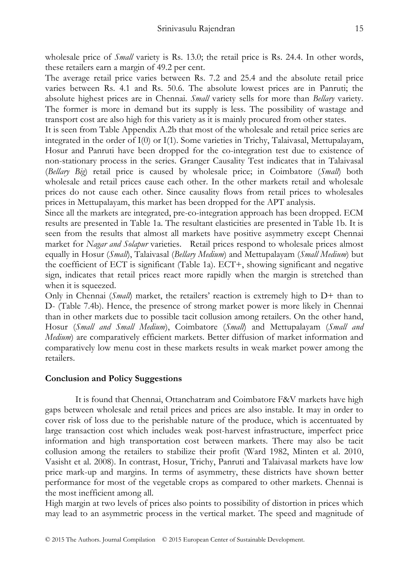wholesale price of *Small* variety is Rs. 13.0; the retail price is Rs. 24.4. In other words, these retailers earn a margin of 49.2 per cent.

The average retail price varies between Rs. 7.2 and 25.4 and the absolute retail price varies between Rs. 4.1 and Rs. 50.6. The absolute lowest prices are in Panruti; the absolute highest prices are in Chennai. *Small* variety sells for more than *Bellary* variety. The former is more in demand but its supply is less. The possibility of wastage and transport cost are also high for this variety as it is mainly procured from other states.

It is seen from Table Appendix A.2b that most of the wholesale and retail price series are integrated in the order of I(0) or I(1). Some varieties in Trichy, Talaivasal, Mettupalayam, Hosur and Panruti have been dropped for the co-integration test due to existence of non-stationary process in the series. Granger Causality Test indicates that in Talaivasal (*Bellary Big*) retail price is caused by wholesale price; in Coimbatore (*Small*) both wholesale and retail prices cause each other. In the other markets retail and wholesale prices do not cause each other. Since causality flows from retail prices to wholesales prices in Mettupalayam, this market has been dropped for the APT analysis.

Since all the markets are integrated, pre-co-integration approach has been dropped. ECM results are presented in Table 1a. The resultant elasticities are presented in Table 1b. It is seen from the results that almost all markets have positive asymmetry except Chennai market for *Nagar and Solapur* varieties. Retail prices respond to wholesale prices almost equally in Hosur (*Small*), Talaivasal (*Bellary Medium*) and Mettupalayam (*Small Medium*) but the coefficient of ECT is significant (Table 1a).  $ECT+$ , showing significant and negative sign, indicates that retail prices react more rapidly when the margin is stretched than when it is squeezed.

Only in Chennai (*Small*) market, the retailers' reaction is extremely high to D+ than to D- (Table 7.4b). Hence, the presence of strong market power is more likely in Chennai than in other markets due to possible tacit collusion among retailers. On the other hand, Hosur (*Small and Small Medium*), Coimbatore (*Small*) and Mettupalayam (*Small and Medium*) are comparatively efficient markets. Better diffusion of market information and comparatively low menu cost in these markets results in weak market power among the retailers.

#### **Conclusion and Policy Suggestions**

It is found that Chennai, Ottanchatram and Coimbatore F&V markets have high gaps between wholesale and retail prices and prices are also instable. It may in order to cover risk of loss due to the perishable nature of the produce, which is accentuated by large transaction cost which includes weak post-harvest infrastructure, imperfect price information and high transportation cost between markets. There may also be tacit collusion among the retailers to stabilize their profit (Ward 1982, Minten et al. 2010, Vasisht et al. 2008). In contrast, Hosur, Trichy, Panruti and Talaivasal markets have low price mark-up and margins. In terms of asymmetry, these districts have shown better performance for most of the vegetable crops as compared to other markets. Chennai is the most inefficient among all.

High margin at two levels of prices also points to possibility of distortion in prices which may lead to an asymmetric process in the vertical market. The speed and magnitude of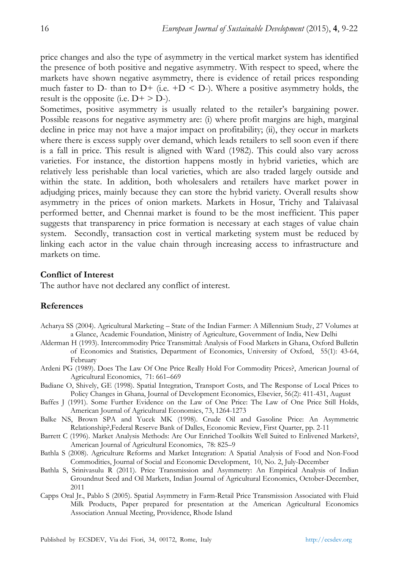price changes and also the type of asymmetry in the vertical market system has identified the presence of both positive and negative asymmetry. With respect to speed, where the markets have shown negative asymmetry, there is evidence of retail prices responding much faster to D- than to D+ (i.e.  $+D < D$ -). Where a positive asymmetry holds, the result is the opposite (i.e.  $D^+ > D$ -).

Sometimes, positive asymmetry is usually related to the retailer's bargaining power. Possible reasons for negative asymmetry are: (i) where profit margins are high, marginal decline in price may not have a major impact on profitability; (ii), they occur in markets where there is excess supply over demand, which leads retailers to sell soon even if there is a fall in price. This result is aligned with Ward (1982). This could also vary across varieties. For instance, the distortion happens mostly in hybrid varieties, which are relatively less perishable than local varieties, which are also traded largely outside and within the state. In addition, both wholesalers and retailers have market power in adjudging prices, mainly because they can store the hybrid variety. Overall results show asymmetry in the prices of onion markets. Markets in Hosur, Trichy and Talaivasal performed better, and Chennai market is found to be the most inefficient. This paper suggests that transparency in price formation is necessary at each stages of value chain system. Secondly, transaction cost in vertical marketing system must be reduced by linking each actor in the value chain through increasing access to infrastructure and markets on time.

#### **Conflict of Interest**

The author have not declared any conflict of interest.

# **References**

- Acharya SS (2004). Agricultural Marketing State of the Indian Farmer: A Millennium Study, 27 Volumes at a Glance, Academic Foundation, Ministry of Agriculture, Government of India, New Delhi
- Alderman H (1993). Intercommodity Price Transmittal: Analysis of Food Markets in Ghana, Oxford Bulletin of Economics and Statistics*,* Department of Economics, University of Oxford, 55(1): 43-64, February
- Ardeni PG (1989). Does The Law Of One Price Really Hold For Commodity Prices?, American Journal of Agricultural Economics, 71: 661–669
- Badiane O, Shively, GE (1998). Spatial Integration, Transport Costs, and The Response of Local Prices to Policy Changes in Ghana, Journal of Development Economics, Elsevier, 56(2): 411-431, August
- Baffes J (1991). Some Further Evidence on the Law of One Price: The Law of One Price Still Holds, American Journal of Agricultural Economics, 73, 1264-1273
- Balke NS, Brown SPA and Yucek MK (1998). Crude Oil and Gasoline Price: An Asymmetric Relationship?,Federal Reserve Bank of Dalles, Economic Review, First Quarter, pp. 2-11
- Barrett C (1996). Market Analysis Methods: Are Our Enriched Toolkits Well Suited to Enlivened Markets?, American Journal of Agricultural Economics, 78: 825–9
- Bathla S (2008). Agriculture Reforms and Market Integration: A Spatial Analysis of Food and Non-Food Commodities, Journal of Social and Economic Development, 10, No. 2, July-December
- Bathla S, Srinivasulu R (2011). Price Transmission and Asymmetry: An Empirical Analysis of Indian Groundnut Seed and Oil Markets, Indian Journal of Agricultural Economics, October-December, 2011
- Capps Oral Jr., Pablo S (2005). Spatial Asymmetry in Farm-Retail Price Transmission Associated with Fluid Milk Products, Paper prepared for presentation at the American Agricultural Economics Association Annual Meeting, Providence, Rhode Island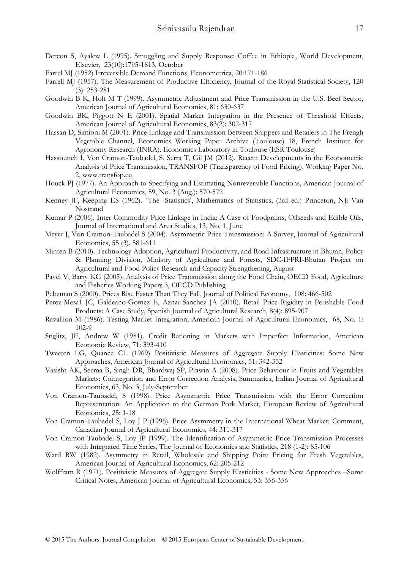- Dercon S, Ayalew L (1995). Smuggling and Supply Response: Coffee in Ethiopia, World Development, Elsevier, 23(10):1795-1813, October
- Farrel MJ (1952) Irreversible Demand Functions, Econometrica, 20:171-186
- Farrell MJ (1957). The Measurement of Productive Efficiency, Journal of the Royal Statistical Society, 120 (3): 253-281
- Goodwin B K, Holt M T (1999). Asymmetric Adjustment and Price Transmission in the U.S. Beef Sector, American Journal of Agricultural Economics, 81: 630-637
- Goodwin BK, Piggott N E (2001). Spatial Market Integration in the Presence of Threshold Effects, American Journal of Agricultural Economics, 83(2): 302-317
- Hassan D, Simioni M (2001). Price Linkage and Transmission Between Shippers and Retailers in The Frengh Vegetable Channel, Economics Working Paper Archive (Toulouse) 18, French Institute for Agronomy Research (INRA). Economics Laboratory in Toulouse (ESR Toulouse)
- Hassouneh I, Von Cramon-Taubadel, S, Serra T, Gil JM (2012). Recent Developments in the Econometric Analysis of Price Transmission, TRANSFOP (Transparency of Food Pricing). Working Paper No. 2, www.transfop.eu
- Houck PJ (1977). An Approach to Specifying and Estimating Nonreversible Functions, American Journal of Agricultural Economics, 59, No. 3 (Aug.): 570-572
- Kenney JF, Keeping ES (1962). `The -Statistics', Mathematics of Statistics, (3rd ed.) Princeton, NJ: Van Nostrand
- Kumar P (2006). Inter Commodity Price Linkage in India: A Case of Foodgrains, Oilseeds and Edible Oils, Journal of International and Area Studies, 13, No. 1, June
- Meyer J, Von Cramon-Taubadel S (2004). Asymmetric Price Transmission: A Survey, Journal of Agricultural Economics, 55 (3). 581-611
- Minten B (2010). Technology Adoption, Agricultural Productivity, and Road Infrastructure in Bhutan, Policy & Planning Division, Ministry of Agriculture and Forests, SDC-IFPRI-Bhutan Project on Agricultural and Food Policy Research and Capacity Strengthening, August
- Pavel V, Barry KG (2005). Analysis of Price Transmission along the Food Chain, OECD Food, Agriculture and Fisheries Working Papers 3, OECD Publishing
- Peltzman S (2000). Prices Rise Faster Than They Fall, Journal of Political Economy, 108: 466-502
- Perez-Mesa1 JC, Galdeano-Gomez E, Aznar-Sanchez JA (2010). Retail Price Rigidity in Perishable Food Products: A Case Study, Spanish Journal of Agricultural Research, 8(4): 895-907
- Ravallion M (1986). Testing Market Integration, American Journal of Agricultural Economics, 68, No. 1: 102-9
- Stiglitz, JE, Andrew W (1981). Credit Rationing in Markets with Imperfect Information, American Economic Review, 71: 393-410
- Tweeten LG, Quance CL (1969) Positivistic Measures of Aggregate Supply Elasticities: Some New Approaches, American Journal of Agricultural Economics, 51: 342-352
- Vasisht AK, Seema B, Singh DR, Bhardwaj SP, Prawin A (2008). Price Behaviour in Fruits and Vegetables Markets: Cointegration and Error Correction Analysis, Summaries, Indian Journal of Agricultural Economics, 63, No. 3, July-September
- Von Cramon-Taubadel, S (1998). Price Asymmetric Price Transmission with the Error Correction Representation: An Application to the German Pork Market, European Review of Agricultural Economics, 25: 1-18
- Von Cramon-Taubadel S, Loy J P (1996). Price Asymmetry in the International Wheat Market: Comment, Canadian Journal of Agricultural Economics, 44: 311-317
- Von Cramon-Taubadel S, Loy JP (1999). The Identification of Asymmetric Price Transmission Processes with Integrated Time Series, The Journal of Economics and Statistics, 218 (1-2): 85-106
- Ward RW (1982). Asymmetry in Retail, Wholesale and Shipping Point Pricing for Fresh Vegetables, American Journal of Agricultural Economics, 62: 205-212
- Wolffram R (1971). Positivistic Measures of Aggregate Supply Elasticities Some New Approaches –Some Critical Notes, American Journal of Agricultural Economics, 53: 356-356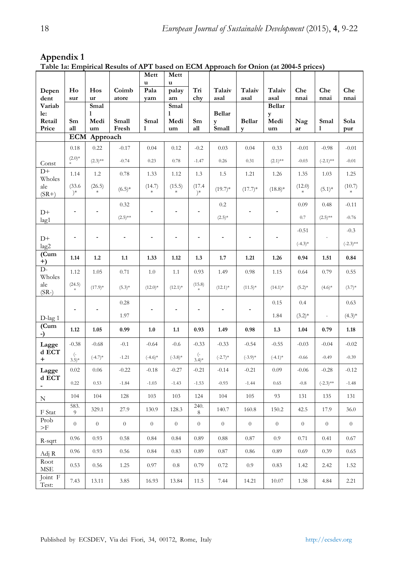|                                       |                                       |                  |            | Mett<br>u        | Mett<br>u        |                  |                  |                  |                       |                |                  |             |
|---------------------------------------|---------------------------------------|------------------|------------|------------------|------------------|------------------|------------------|------------------|-----------------------|----------------|------------------|-------------|
| Depen                                 | Ho                                    | Hos              | Coimb      | Pala             | palay            | Tri              | Talaiv           | Talaiv           | Talaiv                | Che            | Che              | Che         |
| dent<br>Variab                        | sur                                   | ur<br>Smal       | atore      | yam              | am<br>Smal       | chy              | asal             | asal             | asal<br><b>Bellar</b> | nnai           | nnai             | nnai        |
| le:<br>Retail                         | Sm                                    | 1<br>Medi        | Small      | Smal             | 1<br>Medi        | Sm               | Bellar<br>y      | <b>Bellar</b>    | y<br>Medi             | Nag            | Smal             | Sola        |
| Price                                 | all                                   | um               | Fresh      | 1                | um               | all              | Small            | V                | um                    | ar             | 1                | pur         |
|                                       | ECM                                   | Approach         |            |                  |                  |                  |                  |                  |                       |                |                  |             |
|                                       | 0.18<br>$(2.0)*$                      | 0.22             | $-0.17$    | 0.04             | 0.12             | $-0.2$           | 0.03             | 0.04             | 0.33                  | $-0.01$        | $-0.98$          | $-0.01$     |
| Const                                 |                                       | $(2.3)$ **       | $-0.74$    | 0.23             | 0.78             | $-1.47$          | 0.26             | 0.31             | $(2.1)$ **            | $-0.03$        | $(-2.1)$ **      | $-0.01$     |
| $D+$<br>Wholes                        | 1.14                                  | 1.2              | 0.78       | 1.33             | 1.12             | 1.3              | 1.5              | 1.21             | 1.26                  | 1.35           | 1.03             | 1.25        |
| ale<br>$(SR+)$                        | (33.6)<br>$)^*$                       | (26.5)           | $(6.5)*$   | (14.7)<br>$\ast$ | (15.5)           | (17.4)<br>$)^*$  | $(19.7)*$        | $(17.7)$ *       | $(18.8)$ *            | (12.0)         | $(5.1)*$         | (10.7)      |
|                                       | $\blacksquare$                        | L,               | 0.32       | ÷,               | L,               |                  | 0.2              |                  |                       | 0.09           | 0.48             | $-0.11$     |
| $D+$<br>lag1                          |                                       |                  | $(2.5)$ ** |                  |                  |                  | $(2.5)*$         |                  |                       | 0.7            | $(2.5)$ **       | $-0.76$     |
|                                       |                                       |                  |            |                  |                  |                  |                  |                  |                       | $-0.51$        |                  | $-0.3$      |
| $D+$<br>lag2                          | ۰                                     |                  |            | ٠                |                  | L,               | Ĭ.               | L,               |                       | $(-4.3)$ *     |                  | $(-2.3)$ ** |
| (Cum)<br>$^{+)}$                      | 1.14                                  | 1.2              | 1.1        | 1.33             | 1.12             | 1.3              | 1.7              | 1.21             | 1.26                  | 0.94           | 1.51             | 0.84        |
| $D-$<br>Wholes                        | 1.12                                  | 1.05             | 0.71       | 1.0              | 1.1              | 0.93             | 1.49             | 0.98             | 1.15                  | 0.64           | 0.79             | 0.55        |
| ale<br>$(SR-)$                        | (24.5)                                | $(17.9)*$        | $(5.3)*$   | $(12.0)*$        | $(12.1)^*$       | (15.8)           | $(12.1)^*$       | $(11.5)^*$       | $(14.1)^*$            | $(5.2)^*$      | $(4.6)*$         | $(3.7)$ *   |
|                                       |                                       |                  | 0.28       |                  |                  |                  |                  |                  | 0.15                  | 0.4            |                  | 0.63        |
| $D$ -lag 1                            | $\blacksquare$                        |                  | 1.97       | ÷                |                  | ä,               |                  |                  | 1.84                  | $(3.2)*$       | $\blacksquare$   | $(4.3)*$    |
| (Cum<br>-)                            | 1.12                                  | 1.05             | 0.99       | 1.0              | 1.1              | 0.93             | 1.49             | 0.98             | 1.3                   | 1.04           | 0.79             | 1.18        |
| Lagge                                 | $-0.38$                               | $-0.68$          | $-0.1$     | $-0.64$          | $-0.6$           | $-0.33$          | $-0.33$          | $-0.54$          | $-0.55$               | $-0.03$        | $-0.04$          | $-0.02$     |
| d ECT<br>$\ddot{}$                    | $(\overline{\phantom{a}}$<br>$(3.5)*$ | $(-4.7)$ *       | $-1.21$    | $(-4.6)$ *       | $(-3.8)$ *       | $(-3.4)*$        | $(-2.7)$ *       | $(-3.9)*$        | $(-4.1)$ *            | $-0.66$        | $-0.49$          | $-0.39$     |
| Lagge                                 | 0.02                                  | 0.06             | $-0.22$    | $-0.18$          | $-0.27$          | $-0.21$          | $-0.14$          | $-0.21$          | 0.09                  | $-0.06$        | $-0.28$          | $-0.12$     |
| d ECT<br>$\qquad \qquad \blacksquare$ | 0.22                                  | 0.53             | $-1.84$    | $-1.03$          | $-1.43$          | $-1.53$          | $-0.93$          | $-1.44$          | 0.65                  | $-0.8$         | $(-2.3)$ **      | $-1.48$     |
| N                                     | 104                                   | 104              | 128        | 103              | 103              | 124              | 104              | 105              | 93                    | 131            | 135              | 131         |
| F Stat                                | 583.<br>9                             | 329.1            | 27.9       | 130.9            | 128.3            | 240.<br>8        | 140.7            | 160.8            | 150.2                 | 42.5           | 17.9             | 36.0        |
| Prob<br>$>$ F                         | $\boldsymbol{0}$                      | $\boldsymbol{0}$ | $\theta$   | $\boldsymbol{0}$ | $\boldsymbol{0}$ | $\boldsymbol{0}$ | $\boldsymbol{0}$ | $\boldsymbol{0}$ | $\boldsymbol{0}$      | $\overline{0}$ | $\boldsymbol{0}$ | $\theta$    |
| R-sqrt                                | 0.96                                  | 0.93             | 0.58       | 0.84             | 0.84             | 0.89             | 0.88             | 0.87             | 0.9                   | 0.71           | 0.41             | 0.67        |
| Adj R                                 | 0.96                                  | 0.93             | 0.56       | 0.84             | 0.83             | 0.89             | 0.87             | 0.86             | 0.89                  | 0.69           | 0.39             | 0.65        |
| Root<br><b>MSE</b>                    | 0.53                                  | 0.56             | 1.25       | 0.97             | $0.8\,$          | 0.79             | 0.72             | 0.9              | 0.83                  | 1.42           | 2.42             | 1.52        |
| Joint F<br>Test:                      | 7.43                                  | 13.11            | 3.85       | 16.93            | 13.84            | 11.5             | 7.44             | 14.21            | 10.07                 | 1.38           | 4.84             | 2.21        |

# **Appendix 1**

**Table 1a: Empirical Results of APT based on ECM Approach for Onion (at 2004-5 prices)**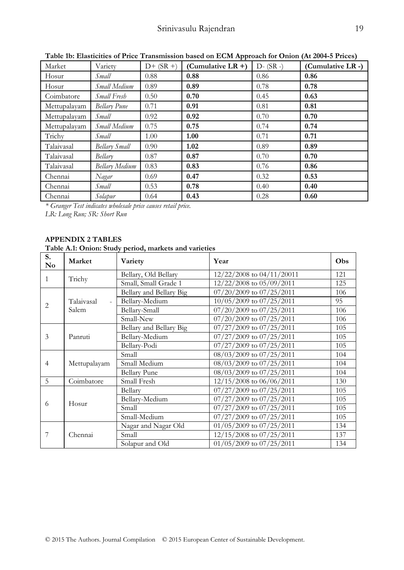| Market       | Variety             | $D+$ (SR +)       | $\sim$ 0.12 $\sim$ 0.12 $\sim$ 0.12 $\sim$ 0.12 $\sim$ 0.12 $\sim$ 0.12 $\sim$ 0.12 $\sim$ 0.12 $\sim$ 0.12 $\sim$ 0.12 $\sim$ 0.12 $\sim$ 0.12 $\sim$ 0.12 $\sim$ 0.12 $\sim$ 0.12 $\sim$ 0.12 $\sim$ 0.12 $\sim$ 0.12 $\sim$ 0.12 $\sim$ 0.12 $\sim$ 0.12 $\sim$ 0.12<br>(Cumulative LR $+$ ) | $D - (SR -)$ | (Cumulative LR -) |
|--------------|---------------------|-------------------|-------------------------------------------------------------------------------------------------------------------------------------------------------------------------------------------------------------------------------------------------------------------------------------------------|--------------|-------------------|
| Hosur        | Small               | 0.88              | 0.88                                                                                                                                                                                                                                                                                            | 0.86         | 0.86              |
| Hosur        | Small Medium        | 0.89              | 0.89                                                                                                                                                                                                                                                                                            | 0.78         | 0.78              |
| Coimbatore   | Small Fresh         | 0.50              | 0.70                                                                                                                                                                                                                                                                                            | 0.45         | 0.63              |
| Mettupalayam | <b>Bellary Pune</b> | 0.71              | 0.91                                                                                                                                                                                                                                                                                            | 0.81         | 0.81              |
| Mettupalayam | Small               | 0.92              | 0.92                                                                                                                                                                                                                                                                                            | 0.70         | 0.70              |
| Mettupalayam | Small Medium        | 0.75              | 0.75                                                                                                                                                                                                                                                                                            | 0.74         | 0.74              |
| Trichy       | Small               | 1.00              | 1.00                                                                                                                                                                                                                                                                                            | 0.71         | 0.71              |
| Talaivasal   | Bellary Small       | 0.90 <sub>1</sub> | 1.02                                                                                                                                                                                                                                                                                            | 0.89         | 0.89              |
| Talaivasal   | Bellary             | 0.87              | 0.87                                                                                                                                                                                                                                                                                            | 0.70         | 0.70              |
| Talaivasal   | Bellary Medium      | 0.83              | 0.83                                                                                                                                                                                                                                                                                            | 0.76         | 0.86              |
| Chennai      | Nagar               | 0.69              | 0.47                                                                                                                                                                                                                                                                                            | 0.32         | 0.53              |
| Chennai      | Small               | 0.53              | 0.78                                                                                                                                                                                                                                                                                            | 0.40         | 0.40              |
| Chennai      | Solapur             | 0.64              | 0.43                                                                                                                                                                                                                                                                                            | 0.28         | 0.60              |

**Table 1b: Elasticities of Price Transmission based on ECM Approach for Onion (At 2004-5 Prices)**

*\* Granger Test indicates wholesale price causes retail price.* 

*LR: Long Run; SR: Short Run* 

#### **APPENDIX 2 TABLES**

#### **Table A.1: Onion: Study period, markets and varieties**

| S.<br>$\mathbf{N}\mathbf{o}$ | Market                                 | Variety                 | Year                                                                                                             | Obs                                                                              |
|------------------------------|----------------------------------------|-------------------------|------------------------------------------------------------------------------------------------------------------|----------------------------------------------------------------------------------|
|                              | Trichy                                 | Bellary, Old Bellary    | 12/22/2008 to 04/11/20011                                                                                        | 121                                                                              |
|                              |                                        | Small, Small Grade 1    | 12/22/2008 to 05/09/2011                                                                                         | 125                                                                              |
|                              |                                        | Bellary and Bellary Big | 07/20/2009 to 07/25/2011                                                                                         | 106                                                                              |
|                              | Talaivasal<br>$\overline{\phantom{a}}$ | Bellary-Medium          | 10/05/2009 to 07/25/2011                                                                                         | 95                                                                               |
|                              | Salem                                  | Bellary-Small           | 07/20/2009 to 07/25/2011                                                                                         | 106                                                                              |
|                              |                                        | Small-New               | 07/20/2009 to 07/25/2011                                                                                         | 106                                                                              |
|                              |                                        | Bellary and Bellary Big | 07/27/2009 to 07/25/2011                                                                                         | 105                                                                              |
| 3                            | Panruti                                | Bellary-Medium          | 07/27/2009 to 07/25/2011                                                                                         | 105                                                                              |
|                              |                                        | Bellary-Podi            | 07/27/2009 to 07/25/2011                                                                                         | 105<br>104<br>104<br>104<br>130<br>105<br>105<br>105<br>105<br>134<br>137<br>134 |
|                              | Mettupalayam                           | Small                   | 08/03/2009 to 07/25/2011                                                                                         |                                                                                  |
| $\overline{4}$               |                                        | Small Medium            | 08/03/2009 to 07/25/2011                                                                                         |                                                                                  |
|                              |                                        | <b>Bellary Pune</b>     | 08/03/2009 to 07/25/2011                                                                                         |                                                                                  |
| 5                            | Coimbatore                             | Small Fresh             | 12/15/2008 to 06/06/2011                                                                                         |                                                                                  |
|                              |                                        | Bellary                 | 07/27/2009 to 07/25/2011                                                                                         |                                                                                  |
| 1<br>2<br>6<br>7             | Hosur                                  | Bellary-Medium          | 07/27/2009 to 07/25/2011                                                                                         |                                                                                  |
|                              |                                        | Small                   | 07/27/2009 to 07/25/2011                                                                                         |                                                                                  |
|                              |                                        | Small-Medium            | 07/27/2009 to 07/25/2011<br>01/05/2009 to 07/25/2011<br>12/15/2008 to 07/25/2011<br>$01/05/2009$ to $07/25/2011$ |                                                                                  |
|                              |                                        | Nagar and Nagar Old     |                                                                                                                  |                                                                                  |
|                              | Chennai                                | Small                   |                                                                                                                  |                                                                                  |
|                              |                                        | Solapur and Old         |                                                                                                                  |                                                                                  |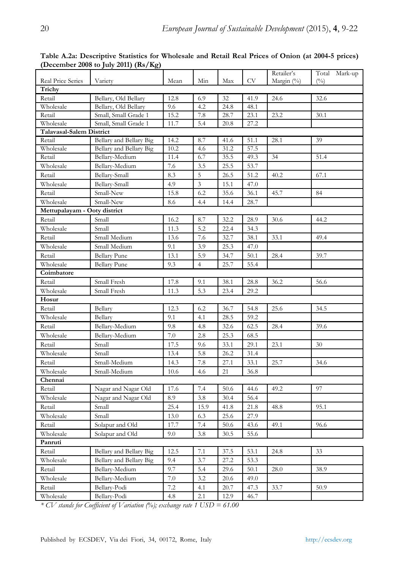|                              |                                           |             |                |      |              | Retailer's | Total Mark-up |
|------------------------------|-------------------------------------------|-------------|----------------|------|--------------|------------|---------------|
| Real Price Series            | Variety                                   | Mean        | Min            | Max  | <b>CV</b>    | Margin (%) | $($ %)        |
| Trichy                       |                                           |             |                |      |              |            |               |
| Retail                       | Bellary, Old Bellary                      | 12.8        | 6.9            | 32   | 41.9         | 24.6       | 32.6          |
| Wholesale                    | Bellary, Old Bellary                      | 9.6         | 4.2            | 24.8 | 48.1         |            |               |
| Retail                       | Small, Small Grade 1                      | 15.2        | 7.8            | 28.7 | 23.1         | 23.2       | 30.1          |
| Wholesale                    | Small, Small Grade 1                      | 11.7        | 5.4            | 20.8 | 27.2         |            |               |
| Talavasal-Salem District     |                                           |             |                |      |              |            |               |
| Retail                       | Bellary and Bellary Big                   | 14.2        | 8.7            | 41.6 | 51.1         | 28.1       | 39            |
| Wholesale<br>Retail          | Bellary and Bellary Big<br>Bellary-Medium | 10.2        | 4.6            | 31.2 | 57.5<br>49.3 |            |               |
|                              |                                           | 11.4<br>7.6 | 6.7<br>3.5     | 35.5 | 53.7         | 34         | 51.4          |
| Wholesale                    | Bellary-Medium                            |             |                | 25.5 |              |            |               |
| Retail                       | Bellary-Small                             | 8.3         | 5              | 26.5 | 51.2         | 40.2       | 67.1          |
| Wholesale                    | Bellary-Small                             | 4.9         | 3              | 15.1 | 47.0         |            |               |
| Retail                       | Small-New                                 | 15.8        | 6.2            | 35.6 | 36.1         | 45.7       | 84            |
| Wholesale                    | Small-New                                 | 8.6         | 4.4            | 14.4 | 28.7         |            |               |
| Mettupalayam - Ooty district |                                           |             |                |      |              |            |               |
| Retail                       | Small                                     | 16.2        | 8.7            | 32.2 | 28.9         | 30.6       | 44.2          |
| Wholesale                    | Small                                     | 11.3        | 5.2            | 22.4 | 34.3         |            |               |
| Retail                       | Small Medium                              | 13.6        | 7.6            | 32.7 | 38.1         | 33.1       | 49.4          |
| Wholesale                    | Small Medium                              | 9.1         | 3.9            | 25.3 | 47.0         |            |               |
| Retail                       | <b>Bellary Pune</b>                       | 13.1        | 5.9            | 34.7 | 50.1         | 28.4       | 39.7          |
| Wholesale                    | <b>Bellary Pune</b>                       | 9.3         | $\overline{4}$ | 25.7 | 55.4         |            |               |
| Coimbatore                   |                                           |             |                |      |              |            |               |
| Retail                       | Small Fresh                               | 17.8        | 9.1            | 38.1 | 28.8         | 36.2       | 56.6          |
| Wholesale                    | Small Fresh                               | 11.3        | 5.3            | 23.4 | 29.2         |            |               |
| Hosur                        |                                           |             |                |      |              |            |               |
| Retail                       | Bellary                                   | 12.3        | 6.2            | 36.7 | 54.8         | 25.6       | 34.5          |
| Wholesale                    | Bellary                                   | 9.1         | 4.1            | 28.5 | 59.2         |            |               |
| Retail                       | Bellary-Medium                            | 9.8         | 4.8            | 32.6 | 62.5         | 28.4       | 39.6          |
| Wholesale                    | Bellary-Medium                            | 7.0         | $2.8\,$        | 25.3 | 68.5         |            |               |
| Retail                       | Small                                     | 17.5        | 9.6            | 33.1 | 29.1         | 23.1       | 30            |
| Wholesale                    | Small                                     | 13.4        | 5.8            | 26.2 | 31.4         |            |               |
| Retail                       | Small-Medium                              | 14.3        | 7.8            | 27.1 | 33.1         | 25.7       | 34.6          |
| Wholesale                    | Small-Medium                              | 10.6        | 4.6            | 21   | 36.8         |            |               |
| Chennai                      |                                           |             |                |      |              |            |               |
| Retail                       | Nagar and Nagar Old                       | 17.6        | 7.4            | 50.6 | 44.6         | 49.2       | 97            |
| Wholesale                    | Nagar and Nagar Old                       | 8.9         | 3.8            | 30.4 | 56.4         |            |               |
| Retail                       | Small                                     | 25.4        | 15.9           | 41.8 | 21.8         | 48.8       | 95.1          |
| Wholesale                    | Small                                     | 13.0        | 6.3            | 25.6 | 27.9         |            |               |
| Retail                       | Solapur and Old                           | 17.7        | 7.4            | 50.6 | 43.6         | 49.1       | 96.6          |
| Wholesale                    | Solapur and Old                           | 9.0         | 3.8            | 30.5 | 55.6         |            |               |
| Panruti                      |                                           |             |                |      |              |            |               |
| Retail                       | Bellary and Bellary Big                   | 12.5        | 7.1            | 37.5 | 53.1         | 24.8       | 33            |
| Wholesale                    | Bellary and Bellary Big                   | 9.4         | 3.7            | 27.2 | 53.3         |            |               |
| Retail                       | Bellary-Medium                            | 9.7         | 5.4            | 29.6 | 50.1         | 28.0       | 38.9          |
| Wholesale                    | Bellary-Medium                            | 7.0         | 3.2            | 20.6 | 49.0         |            |               |
| Retail                       | Bellary-Podi                              | 7.2         | 4.1            | 20.7 | 47.3         | 33.7       | 50.9          |
| Wholesale                    | Bellary-Podi                              | 4.8         | 2.1            | 12.9 | 46.7         |            |               |
|                              |                                           |             |                |      |              |            |               |

**Table A.2a: Descriptive Statistics for Wholesale and Retail Real Prices of Onion (at 2004-5 prices) (December 2008 to July 2011) (Rs/Kg)** 

*\* CV stands for Coefficient of Variation (%); exchange rate 1 USD = 61.00*